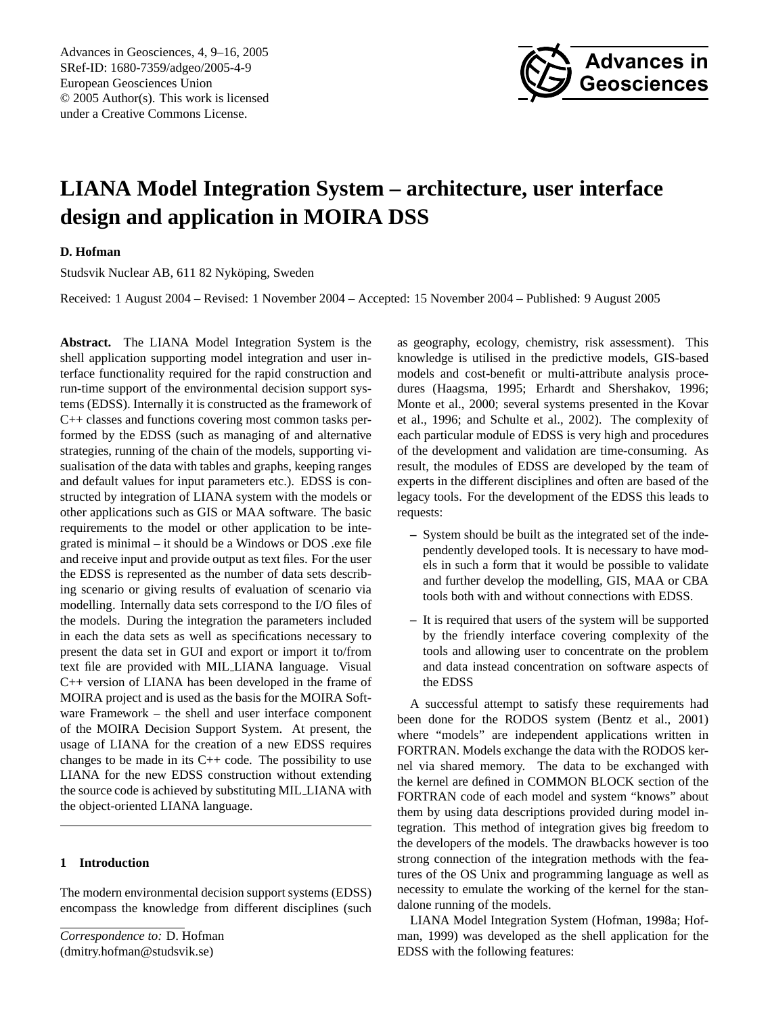Advances in Geosciences, 4, 9[–16,](#page-0-0) 2005 SRef-ID: 1680-7359/adgeo/2005-4-9 European Geosciences Union © 2005 Author(s). This work is licensed under a Creative Commons License.



# **LIANA Model Integration System – architecture, user interface design and application in MOIRA DSS**

# **D. Hofman**

Studsvik Nuclear AB, 611 82 Nykoping, Sweden ¨

Received: 1 August 2004 – Revised: 1 November 2004 – Accepted: 15 November 2004 – Published: 9 August 2005

**Abstract.** The LIANA Model Integration System is the shell application supporting model integration and user interface functionality required for the rapid construction and run-time support of the environmental decision support systems (EDSS). Internally it is constructed as the framework of C++ classes and functions covering most common tasks performed by the EDSS (such as managing of and alternative strategies, running of the chain of the models, supporting visualisation of the data with tables and graphs, keeping ranges and default values for input parameters etc.). EDSS is constructed by integration of LIANA system with the models or other applications such as GIS or MAA software. The basic requirements to the model or other application to be integrated is minimal – it should be a Windows or DOS .exe file and receive input and provide output as text files. For the user the EDSS is represented as the number of data sets describing scenario or giving results of evaluation of scenario via modelling. Internally data sets correspond to the I/O files of the models. During the integration the parameters included in each the data sets as well as specifications necessary to present the data set in GUI and export or import it to/from text file are provided with MIL LIANA language. Visual C++ version of LIANA has been developed in the frame of MOIRA project and is used as the basis for the MOIRA Software Framework – the shell and user interface component of the MOIRA Decision Support System. At present, the usage of LIANA for the creation of a new EDSS requires changes to be made in its  $C++$  code. The possibility to use LIANA for the new EDSS construction without extending the source code is achieved by substituting MIL LIANA with the object-oriented LIANA language.

## **1 Introduction**

The modern environmental decision support systems (EDSS) encompass the knowledge from different disciplines (such

<span id="page-0-0"></span>*Correspondence to:* D. Hofman (dmitry.hofman@studsvik.se)

as geography, ecology, chemistry, risk assessment). This knowledge is utilised in the predictive models, GIS-based models and cost-benefit or multi-attribute analysis procedures (Haagsma, 1995; Erhardt and Shershakov, 1996; Monte et al., 2000; several systems presented in the Kovar et al., 1996; and Schulte et al., 2002). The complexity of each particular module of EDSS is very high and procedures of the development and validation are time-consuming. As result, the modules of EDSS are developed by the team of experts in the different disciplines and often are based of the legacy tools. For the development of the EDSS this leads to requests:

- **–** System should be built as the integrated set of the independently developed tools. It is necessary to have models in such a form that it would be possible to validate and further develop the modelling, GIS, MAA or CBA tools both with and without connections with EDSS.
- **–** It is required that users of the system will be supported by the friendly interface covering complexity of the tools and allowing user to concentrate on the problem and data instead concentration on software aspects of the EDSS

A successful attempt to satisfy these requirements had been done for the RODOS system (Bentz et al., 2001) where "models" are independent applications written in FORTRAN. Models exchange the data with the RODOS kernel via shared memory. The data to be exchanged with the kernel are defined in COMMON BLOCK section of the FORTRAN code of each model and system "knows" about them by using data descriptions provided during model integration. This method of integration gives big freedom to the developers of the models. The drawbacks however is too strong connection of the integration methods with the features of the OS Unix and programming language as well as necessity to emulate the working of the kernel for the standalone running of the models.

LIANA Model Integration System (Hofman, 1998a; Hofman, 1999) was developed as the shell application for the EDSS with the following features: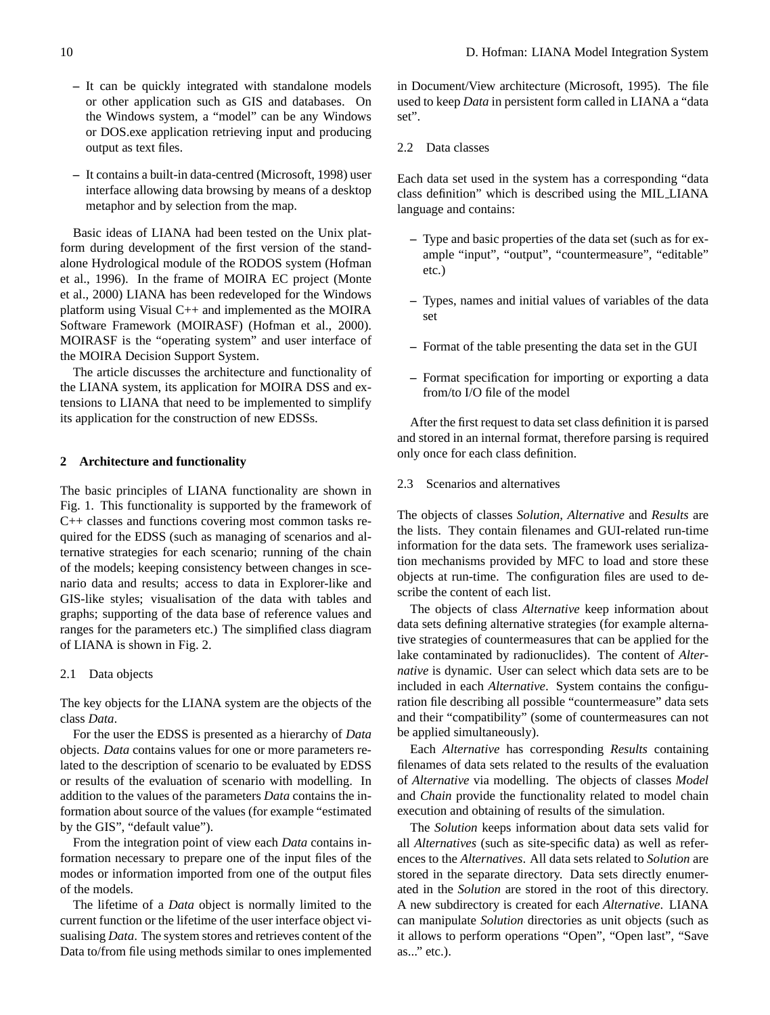- **–** It can be quickly integrated with standalone models or other application such as GIS and databases. On the Windows system, a "model" can be any Windows or DOS.exe application retrieving input and producing output as text files.
- **–** It contains a built-in data-centred (Microsoft, 1998) user interface allowing data browsing by means of a desktop metaphor and by selection from the map.

Basic ideas of LIANA had been tested on the Unix platform during development of the first version of the standalone Hydrological module of the RODOS system (Hofman et al., 1996). In the frame of MOIRA EC project (Monte et al., 2000) LIANA has been redeveloped for the Windows platform using Visual C++ and implemented as the MOIRA Software Framework (MOIRASF) (Hofman et al., 2000). MOIRASF is the "operating system" and user interface of the MOIRA Decision Support System.

The article discusses the architecture and functionality of the LIANA system, its application for MOIRA DSS and extensions to LIANA that need to be implemented to simplify its application for the construction of new EDSSs.

#### **2 Architecture and functionality**

The basic principles of LIANA functionality are shown in Fig. [1.](#page-2-0) This functionality is supported by the framework of C++ classes and functions covering most common tasks required for the EDSS (such as managing of scenarios and alternative strategies for each scenario; running of the chain of the models; keeping consistency between changes in scenario data and results; access to data in Explorer-like and GIS-like styles; visualisation of the data with tables and graphs; supporting of the data base of reference values and ranges for the parameters etc.) The simplified class diagram of LIANA is shown in Fig. [2.](#page-2-1)

#### 2.1 Data objects

The key objects for the LIANA system are the objects of the class *Data*.

For the user the EDSS is presented as a hierarchy of *Data* objects. *Data* contains values for one or more parameters related to the description of scenario to be evaluated by EDSS or results of the evaluation of scenario with modelling. In addition to the values of the parameters *Data* contains the information about source of the values (for example "estimated by the GIS", "default value").

From the integration point of view each *Data* contains information necessary to prepare one of the input files of the modes or information imported from one of the output files of the models.

The lifetime of a *Data* object is normally limited to the current function or the lifetime of the user interface object visualising *Data*. The system stores and retrieves content of the Data to/from file using methods similar to ones implemented in Document/View architecture (Microsoft, 1995). The file used to keep *Data* in persistent form called in LIANA a "data set".

2.2 Data classes

Each data set used in the system has a corresponding "data class definition" which is described using the MIL LIANA language and contains:

- **–** Type and basic properties of the data set (such as for example "input", "output", "countermeasure", "editable" etc.)
- **–** Types, names and initial values of variables of the data set
- **–** Format of the table presenting the data set in the GUI
- **–** Format specification for importing or exporting a data from/to I/O file of the model

After the first request to data set class definition it is parsed and stored in an internal format, therefore parsing is required only once for each class definition.

# 2.3 Scenarios and alternatives

The objects of classes *Solution, Alternative* and *Results* are the lists. They contain filenames and GUI-related run-time information for the data sets. The framework uses serialization mechanisms provided by MFC to load and store these objects at run-time. The configuration files are used to describe the content of each list.

The objects of class *Alternative* keep information about data sets defining alternative strategies (for example alternative strategies of countermeasures that can be applied for the lake contaminated by radionuclides). The content of *Alternative* is dynamic. User can select which data sets are to be included in each *Alternative*. System contains the configuration file describing all possible "countermeasure" data sets and their "compatibility" (some of countermeasures can not be applied simultaneously).

Each *Alternative* has corresponding *Results* containing filenames of data sets related to the results of the evaluation of *Alternative* via modelling. The objects of classes *Model* and *Chain* provide the functionality related to model chain execution and obtaining of results of the simulation.

The *Solution* keeps information about data sets valid for all *Alternatives* (such as site-specific data) as well as references to the *Alternatives*. All data sets related to *Solution* are stored in the separate directory. Data sets directly enumerated in the *Solution* are stored in the root of this directory. A new subdirectory is created for each *Alternative*. LIANA can manipulate *Solution* directories as unit objects (such as it allows to perform operations "Open", "Open last", "Save as..." etc.).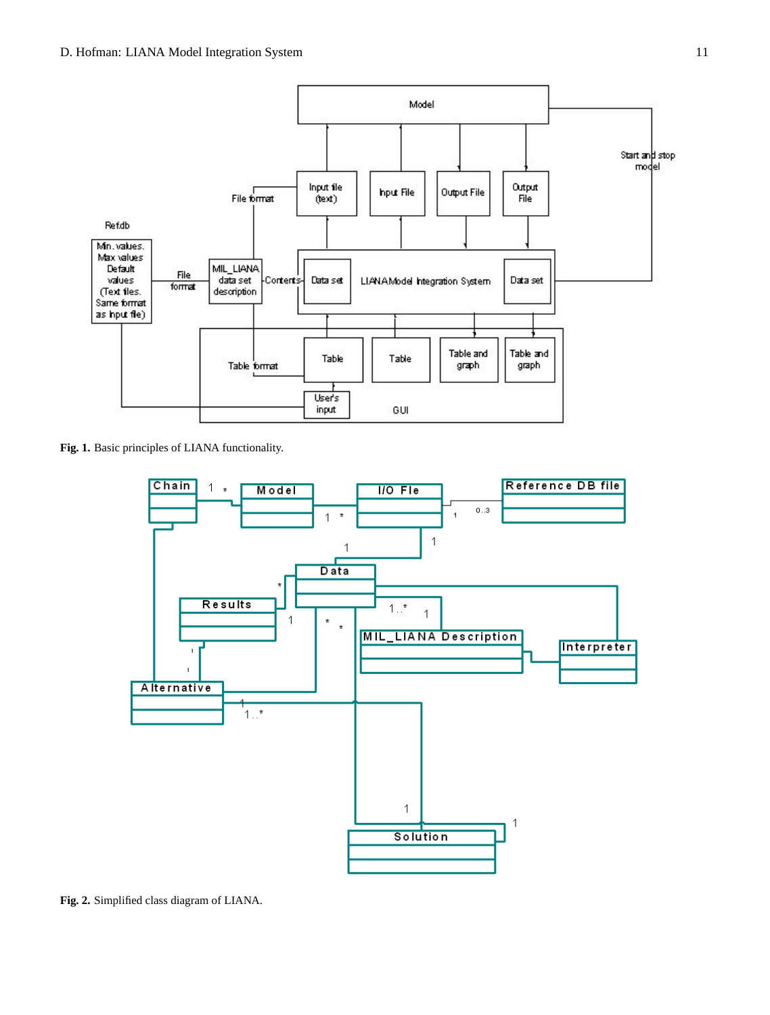

**Fig. 1.** Basic principles of LIANA functionality.

<span id="page-2-0"></span>

<span id="page-2-1"></span>**Fig. 2.** Simplified class diagram of LIANA.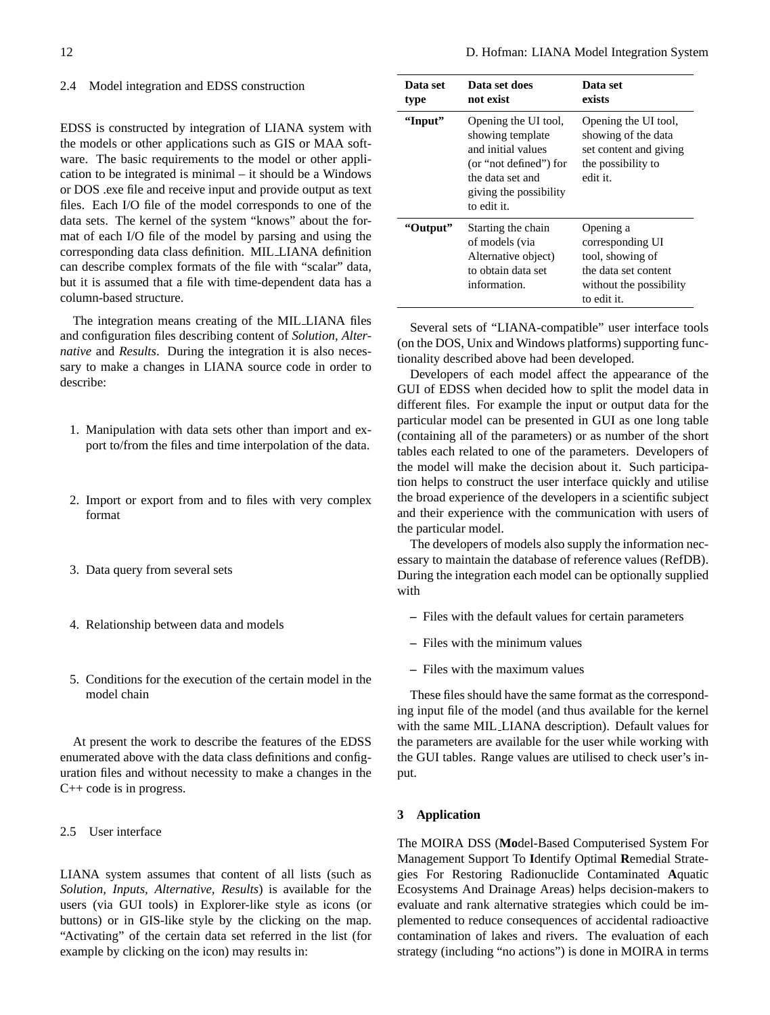#### 2.4 Model integration and EDSS construction

EDSS is constructed by integration of LIANA system with the models or other applications such as GIS or MAA software. The basic requirements to the model or other application to be integrated is minimal – it should be a Windows or DOS .exe file and receive input and provide output as text files. Each I/O file of the model corresponds to one of the data sets. The kernel of the system "knows" about the format of each I/O file of the model by parsing and using the corresponding data class definition. MIL LIANA definition can describe complex formats of the file with "scalar" data, but it is assumed that a file with time-dependent data has a column-based structure.

The integration means creating of the MIL LIANA files and configuration files describing content of *Solution, Alternative* and *Results*. During the integration it is also necessary to make a changes in LIANA source code in order to describe:

- 1. Manipulation with data sets other than import and export to/from the files and time interpolation of the data.
- 2. Import or export from and to files with very complex format
- 3. Data query from several sets
- 4. Relationship between data and models
- 5. Conditions for the execution of the certain model in the model chain

At present the work to describe the features of the EDSS enumerated above with the data class definitions and configuration files and without necessity to make a changes in the C++ code is in progress.

2.5 User interface

LIANA system assumes that content of all lists (such as *Solution, Inputs, Alternative, Results*) is available for the users (via GUI tools) in Explorer-like style as icons (or buttons) or in GIS-like style by the clicking on the map. "Activating" of the certain data set referred in the list (for example by clicking on the icon) may results in:

| Data set<br>type | Data set does<br>not exist                                                                                                                            | Data set<br>exists                                                                                                  |
|------------------|-------------------------------------------------------------------------------------------------------------------------------------------------------|---------------------------------------------------------------------------------------------------------------------|
| "Input"          | Opening the UI tool,<br>showing template<br>and initial values<br>(or "not defined") for<br>the data set and<br>giving the possibility<br>to edit it. | Opening the UI tool,<br>showing of the data<br>set content and giving<br>the possibility to<br>edit it.             |
| "Output"         | Starting the chain<br>of models (via<br>Alternative object)<br>to obtain data set<br>information.                                                     | Opening a<br>corresponding UI<br>tool, showing of<br>the data set content<br>without the possibility<br>to edit it. |

Several sets of "LIANA-compatible" user interface tools (on the DOS, Unix and Windows platforms) supporting functionality described above had been developed.

Developers of each model affect the appearance of the GUI of EDSS when decided how to split the model data in different files. For example the input or output data for the particular model can be presented in GUI as one long table (containing all of the parameters) or as number of the short tables each related to one of the parameters. Developers of the model will make the decision about it. Such participation helps to construct the user interface quickly and utilise the broad experience of the developers in a scientific subject and their experience with the communication with users of the particular model.

The developers of models also supply the information necessary to maintain the database of reference values (RefDB). During the integration each model can be optionally supplied with

- **–** Files with the default values for certain parameters
- **–** Files with the minimum values
- **–** Files with the maximum values

These files should have the same format as the corresponding input file of the model (and thus available for the kernel with the same MIL LIANA description). Default values for the parameters are available for the user while working with the GUI tables. Range values are utilised to check user's input.

## **3 Application**

The MOIRA DSS (**Mo**del-Based Computerised System For Management Support To **I**dentify Optimal **R**emedial Strategies For Restoring Radionuclide Contaminated **A**quatic Ecosystems And Drainage Areas) helps decision-makers to evaluate and rank alternative strategies which could be implemented to reduce consequences of accidental radioactive contamination of lakes and rivers. The evaluation of each strategy (including "no actions") is done in MOIRA in terms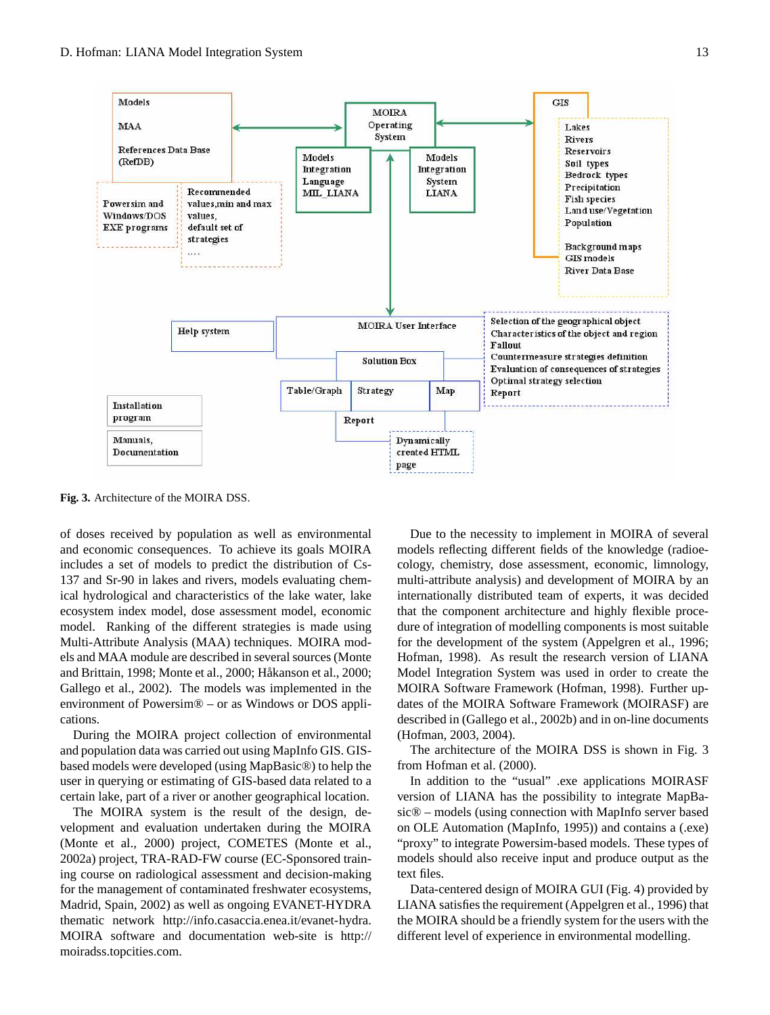

<span id="page-4-0"></span>**Fig. 3.** Architecture of the MOIRA DSS.

of doses received by population as well as environmental and economic consequences. To achieve its goals MOIRA includes a set of models to predict the distribution of Cs-137 and Sr-90 in lakes and rivers, models evaluating chemical hydrological and characteristics of the lake water, lake ecosystem index model, dose assessment model, economic model. Ranking of the different strategies is made using Multi-Attribute Analysis (MAA) techniques. MOIRA models and MAA module are described in several sources (Monte and Brittain, 1998; Monte et al., 2000; Håkanson et al., 2000; Gallego et al., 2002). The models was implemented in the environment of Powersim® – or as Windows or DOS applications.

During the MOIRA project collection of environmental and population data was carried out using MapInfo GIS. GISbased models were developed (using MapBasic®) to help the user in querying or estimating of GIS-based data related to a certain lake, part of a river or another geographical location.

The MOIRA system is the result of the design, development and evaluation undertaken during the MOIRA (Monte et al., 2000) project, COMETES (Monte et al., 2002a) project, TRA-RAD-FW course (EC-Sponsored training course on radiological assessment and decision-making for the management of contaminated freshwater ecosystems, Madrid, Spain, 2002) as well as ongoing EVANET-HYDRA thematic network [http://info.casaccia.enea.it/evanet-hydra.](http://info.casaccia.enea.it/evanet-hydra) MOIRA software and documentation web-site is [http://](http://moiradss.topcities.com) [moiradss.topcities.com.](http://moiradss.topcities.com)

Due to the necessity to implement in MOIRA of several models reflecting different fields of the knowledge (radioecology, chemistry, dose assessment, economic, limnology, multi-attribute analysis) and development of MOIRA by an internationally distributed team of experts, it was decided that the component architecture and highly flexible procedure of integration of modelling components is most suitable for the development of the system (Appelgren et al., 1996; Hofman, 1998). As result the research version of LIANA Model Integration System was used in order to create the MOIRA Software Framework (Hofman, 1998). Further updates of the MOIRA Software Framework (MOIRASF) are described in (Gallego et al., 2002b) and in on-line documents (Hofman, 2003, 2004).

The architecture of the MOIRA DSS is shown in Fig. [3](#page-4-0) from Hofman et al. (2000).

In addition to the "usual" .exe applications MOIRASF version of LIANA has the possibility to integrate MapBasic® – models (using connection with MapInfo server based on OLE Automation (MapInfo, 1995)) and contains a (.exe) "proxy" to integrate Powersim-based models. These types of models should also receive input and produce output as the text files.

Data-centered design of MOIRA GUI (Fig. [4\)](#page-5-0) provided by LIANA satisfies the requirement (Appelgren et al., 1996) that the MOIRA should be a friendly system for the users with the different level of experience in environmental modelling.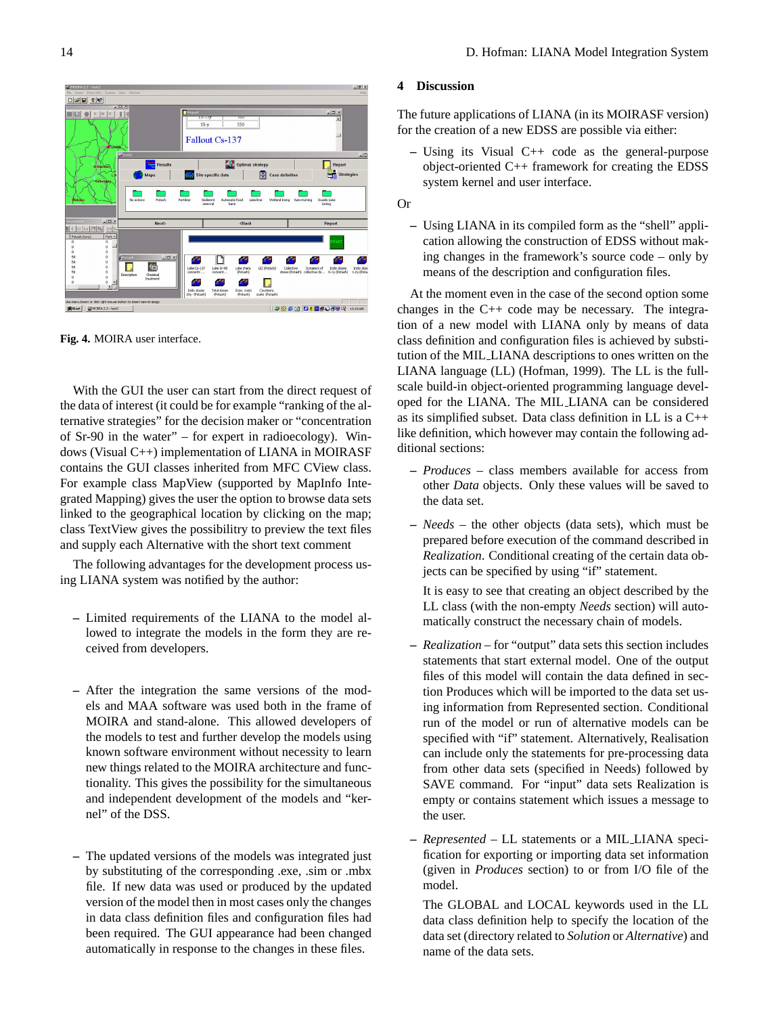## $-10x$  $\frac{1}{\left|\frac{1}{\left|\mathcal{S}_i\right|}\right|}\frac{1}{\left|\mathcal{S}_i\right|}\frac{1}{\left|\mathcal{S}_i\right|}\frac{1}{\left|\mathcal{S}_i\right|}$ **Fallout Cs-137** Optimal strategy Report<br>**Ex** Strategie 日 **The Second**<br>Wetland Iming cuble Lat  $\Box$ a. Lake Sr Lake chem<br>(Potash) 4Ŧ f f  $\mathbf{L}$ 2000 00000000 10:00

<span id="page-5-0"></span>**Fig. 4.** MOIRA user interface.

With the GUI the user can start from the direct request of the data of interest (it could be for example "ranking of the alternative strategies" for the decision maker or "concentration of Sr-90 in the water" – for expert in radioecology). Windows (Visual C++) implementation of LIANA in MOIRASF contains the GUI classes inherited from MFC CView class. For example class MapView (supported by MapInfo Integrated Mapping) gives the user the option to browse data sets linked to the geographical location by clicking on the map; class TextView gives the possibilitry to preview the text files and supply each Alternative with the short text comment

The following advantages for the development process using LIANA system was notified by the author:

- **–** Limited requirements of the LIANA to the model allowed to integrate the models in the form they are received from developers.
- **–** After the integration the same versions of the models and MAA software was used both in the frame of MOIRA and stand-alone. This allowed developers of the models to test and further develop the models using known software environment without necessity to learn new things related to the MOIRA architecture and functionality. This gives the possibility for the simultaneous and independent development of the models and "kernel" of the DSS.
- **–** The updated versions of the models was integrated just by substituting of the corresponding .exe, .sim or .mbx file. If new data was used or produced by the updated version of the model then in most cases only the changes in data class definition files and configuration files had been required. The GUI appearance had been changed automatically in response to the changes in these files.

# **4 Discussion**

The future applications of LIANA (in its MOIRASF version) for the creation of a new EDSS are possible via either:

- **–** Using its Visual C++ code as the general-purpose object-oriented C++ framework for creating the EDSS system kernel and user interface.
- Or
	- **–** Using LIANA in its compiled form as the "shell" application allowing the construction of EDSS without making changes in the framework's source code – only by means of the description and configuration files.

At the moment even in the case of the second option some changes in the C++ code may be necessary. The integration of a new model with LIANA only by means of data class definition and configuration files is achieved by substitution of the MIL LIANA descriptions to ones written on the LIANA language (LL) (Hofman, 1999). The LL is the fullscale build-in object-oriented programming language developed for the LIANA. The MIL LIANA can be considered as its simplified subset. Data class definition in LL is a C++ like definition, which however may contain the following additional sections:

- **–** *Produces* class members available for access from other *Data* objects. Only these values will be saved to the data set.
- **–** *Needs* the other objects (data sets), which must be prepared before execution of the command described in *Realization*. Conditional creating of the certain data objects can be specified by using "if" statement.

It is easy to see that creating an object described by the LL class (with the non-empty *Needs* section) will automatically construct the necessary chain of models.

- **–** *Realization* for "output" data sets this section includes statements that start external model. One of the output files of this model will contain the data defined in section Produces which will be imported to the data set using information from Represented section. Conditional run of the model or run of alternative models can be specified with "if" statement. Alternatively, Realisation can include only the statements for pre-processing data from other data sets (specified in Needs) followed by SAVE command. For "input" data sets Realization is empty or contains statement which issues a message to the user.
- **–** *Represented* LL statements or a MIL LIANA specification for exporting or importing data set information (given in *Produces* section) to or from I/O file of the model.

The GLOBAL and LOCAL keywords used in the LL data class definition help to specify the location of the data set (directory related to *Solution* or *Alternative*) and name of the data sets.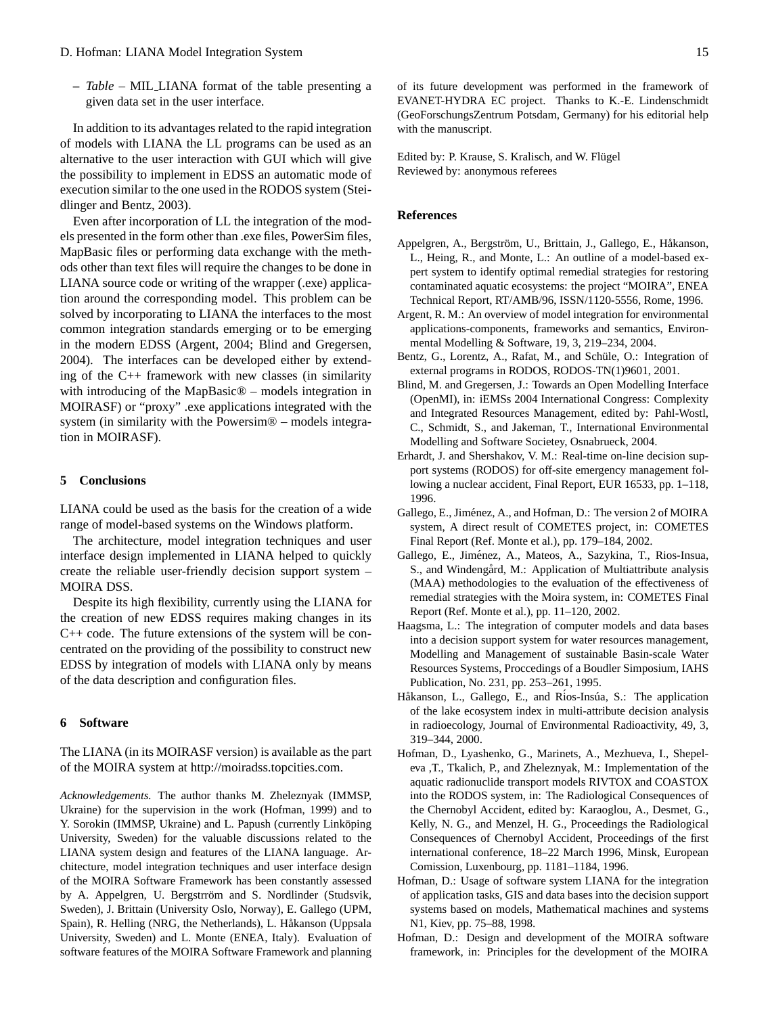**–** *Table* – MIL LIANA format of the table presenting a given data set in the user interface.

In addition to its advantages related to the rapid integration of models with LIANA the LL programs can be used as an alternative to the user interaction with GUI which will give the possibility to implement in EDSS an automatic mode of execution similar to the one used in the RODOS system (Steidlinger and Bentz, 2003).

Even after incorporation of LL the integration of the models presented in the form other than .exe files, PowerSim files, MapBasic files or performing data exchange with the methods other than text files will require the changes to be done in LIANA source code or writing of the wrapper (.exe) application around the corresponding model. This problem can be solved by incorporating to LIANA the interfaces to the most common integration standards emerging or to be emerging in the modern EDSS (Argent, 2004; Blind and Gregersen, 2004). The interfaces can be developed either by extending of the C++ framework with new classes (in similarity with introducing of the MapBasic<sup>®</sup> – models integration in MOIRASF) or "proxy" .exe applications integrated with the system (in similarity with the Powersim® – models integration in MOIRASF).

#### **5 Conclusions**

LIANA could be used as the basis for the creation of a wide range of model-based systems on the Windows platform.

The architecture, model integration techniques and user interface design implemented in LIANA helped to quickly create the reliable user-friendly decision support system – MOIRA DSS.

Despite its high flexibility, currently using the LIANA for the creation of new EDSS requires making changes in its C++ code. The future extensions of the system will be concentrated on the providing of the possibility to construct new EDSS by integration of models with LIANA only by means of the data description and configuration files.

#### **6 Software**

The LIANA (in its MOIRASF version) is available as the part of the MOIRA system at [http://moiradss.topcities.com.](http://moiradss.topcities.com)

*Acknowledgements.* The author thanks M. Zheleznyak (IMMSP, Ukraine) for the supervision in the work (Hofman, 1999) and to Y. Sorokin (IMMSP, Ukraine) and L. Papush (currently Linköping University, Sweden) for the valuable discussions related to the LIANA system design and features of the LIANA language. Architecture, model integration techniques and user interface design of the MOIRA Software Framework has been constantly assessed by A. Appelgren, U. Bergstrröm and S. Nordlinder (Studsvik, Sweden), J. Brittain (University Oslo, Norway), E. Gallego (UPM, Spain), R. Helling (NRG, the Netherlands), L. Håkanson (Uppsala University, Sweden) and L. Monte (ENEA, Italy). Evaluation of software features of the MOIRA Software Framework and planning of its future development was performed in the framework of EVANET-HYDRA EC project. Thanks to K.-E. Lindenschmidt (GeoForschungsZentrum Potsdam, Germany) for his editorial help with the manuscript.

Edited by: P. Krause, S. Kralisch, and W. Flügel Reviewed by: anonymous referees

#### **References**

- Appelgren, A., Bergström, U., Brittain, J., Gallego, E., Håkanson, L., Heing, R., and Monte, L.: An outline of a model-based expert system to identify optimal remedial strategies for restoring contaminated aquatic ecosystems: the project "MOIRA", ENEA Technical Report, RT/AMB/96, ISSN/1120-5556, Rome, 1996.
- Argent, R. M.: An overview of model integration for environmental applications-components, frameworks and semantics, Environmental Modelling & Software, 19, 3, 219–234, 2004.
- Bentz, G., Lorentz, A., Rafat, M., and Schüle, O.: Integration of external programs in RODOS, RODOS-TN(1)9601, 2001.
- Blind, M. and Gregersen, J.: Towards an Open Modelling Interface (OpenMI), in: iEMSs 2004 International Congress: Complexity and Integrated Resources Management, edited by: Pahl-Wostl, C., Schmidt, S., and Jakeman, T., International Environmental Modelling and Software Societey, Osnabrueck, 2004.
- Erhardt, J. and Shershakov, V. M.: Real-time on-line decision support systems (RODOS) for off-site emergency management following a nuclear accident, Final Report, EUR 16533, pp. 1–118, 1996.
- Gallego, E., Jiménez, A., and Hofman, D.: The version 2 of MOIRA system, A direct result of COMETES project, in: COMETES Final Report (Ref. Monte et al.), pp. 179–184, 2002.
- Gallego, E., Jiménez, A., Mateos, A., Sazykina, T., Rios-Insua, S., and Windengård, M.: Application of Multiattribute analysis (MAA) methodologies to the evaluation of the effectiveness of remedial strategies with the Moira system, in: COMETES Final Report (Ref. Monte et al.), pp. 11–120, 2002.
- Haagsma, L.: The integration of computer models and data bases into a decision support system for water resources management, Modelling and Management of sustainable Basin-scale Water Resources Systems, Proccedings of a Boudler Simposium, IAHS Publication, No. 231, pp. 253–261, 1995.
- Håkanson, L., Gallego, E., and Ríos-Insúa, S.: The application of the lake ecosystem index in multi-attribute decision analysis in radioecology, Journal of Environmental Radioactivity, 49, 3, 319–344, 2000.
- Hofman, D., Lyashenko, G., Marinets, A., Mezhueva, I., Shepeleva ,T., Tkalich, P., and Zheleznyak, M.: Implementation of the aquatic radionuclide transport models RIVTOX and COASTOX into the RODOS system, in: The Radiological Consequences of the Chernobyl Accident, edited by: Karaoglou, A., Desmet, G., Kelly, N. G., and Menzel, H. G., Proceedings the Radiological Consequences of Chernobyl Accident, Proceedings of the first international conference, 18–22 March 1996, Minsk, European Comission, Luxenbourg, pp. 1181–1184, 1996.
- Hofman, D.: Usage of software system LIANA for the integration of application tasks, GIS and data bases into the decision support systems based on models, Mathematical machines and systems N1, Kiev, pp. 75–88, 1998.
- Hofman, D.: Design and development of the MOIRA software framework, in: Principles for the development of the MOIRA